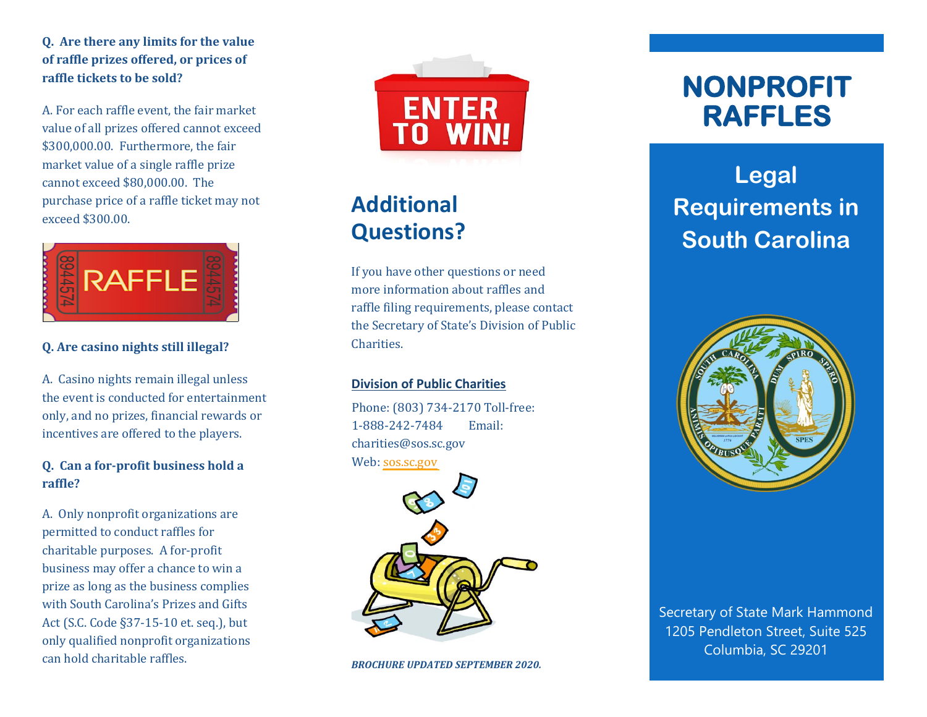**Q. Are there any limits for the value of raffle prizes offered, or prices of raffle tickets to be sold?**

A. For each raffle event, the fair market value of all prizes offered cannot exceed \$300,000.00. Furthermore, the fair market value of a single raffle prize cannot exceed \$80,000.00. The purchase price of a raffle ticket may not exceed \$300.00.



### **Q. Are casino nights still illegal?**

A. Casino nights remain illegal unless the event is conducted for entertainment only, and no prizes, financial rewards or incentives are offered to the players.

### **Q. Can a for-profit business hold a raffle?**

A. Only nonprofit organizations are permitted to conduct raffles for charitable purposes. A for-profit business may offer a chance to win a prize as long as the business complies with South Carolina's Prizes and Gifts Act (S.C. Code §37-15-10 et. seq.), but only qualified nonprofit organizations can hold charitable raffles.



# **Additional Questions?**

If you have other questions or need more information about raffles and raffle filing requirements, please contact the Secretary of State's Division of Public Charities.

#### **Division of Public Charities**

Phone: (803) 734-2170 Toll-free: 1-888-242-7484 Email: charities@sos.sc.gov Web: [sos.sc.gov](http://sos.sc.gov/)



*BROCHURE UPDATED SEPTEMBER 2020.*

# **NONPROFIT RAFFLES**

# **Legal Requirements in South Carolina**



Secretary of State Mark Hammond 1205 Pendleton Street, Suite 525 Columbia, SC 29201